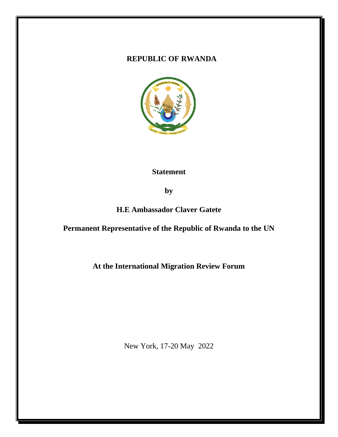#### **REPUBLIC OF RWANDA**



#### **Statement**

**by**

**H.E Ambassador Claver Gatete**

**Permanent Representative of the Republic of Rwanda to the UN**

**At the International Migration Review Forum**

New York, 17-20 May 2022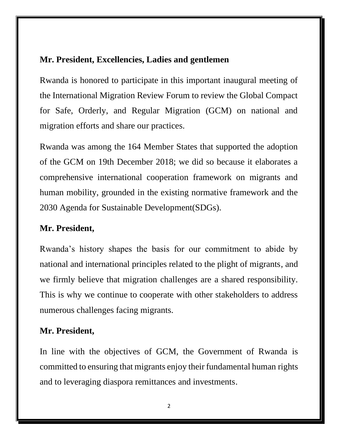## **Mr. President, Excellencies, Ladies and gentlemen**

Rwanda is honored to participate in this important inaugural meeting of the International Migration Review Forum to review the Global Compact for Safe, Orderly, and Regular Migration (GCM) on national and migration efforts and share our practices.

Rwanda was among the 164 Member States that supported the adoption of the GCM on 19th December 2018; we did so because it elaborates a comprehensive international cooperation framework on migrants and human mobility, grounded in the existing normative framework and the 2030 Agenda for Sustainable Development(SDGs).

## **Mr. President,**

Rwanda's history shapes the basis for our commitment to abide by national and international principles related to the plight of migrants, and we firmly believe that migration challenges are a shared responsibility. This is why we continue to cooperate with other stakeholders to address numerous challenges facing migrants.

### **Mr. President,**

In line with the objectives of GCM, the Government of Rwanda is committed to ensuring that migrants enjoy their fundamental human rights and to leveraging diaspora remittances and investments.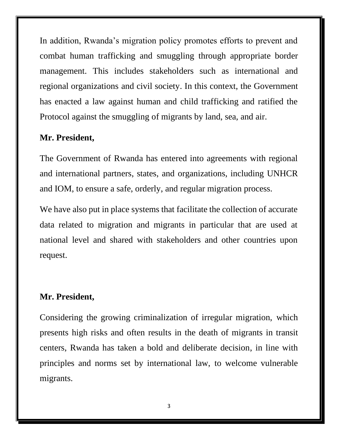In addition, Rwanda's migration policy promotes efforts to prevent and combat human trafficking and smuggling through appropriate border management. This includes stakeholders such as international and regional organizations and civil society. In this context, the Government has enacted a law against human and child trafficking and ratified the Protocol against the smuggling of migrants by land, sea, and air.

# **Mr. President,**

The Government of Rwanda has entered into agreements with regional and international partners, states, and organizations, including UNHCR and IOM, to ensure a safe, orderly, and regular migration process.

We have also put in place systems that facilitate the collection of accurate data related to migration and migrants in particular that are used at national level and shared with stakeholders and other countries upon request.

# **Mr. President,**

Considering the growing criminalization of irregular migration, which presents high risks and often results in the death of migrants in transit centers, Rwanda has taken a bold and deliberate decision, in line with principles and norms set by international law, to welcome vulnerable migrants.